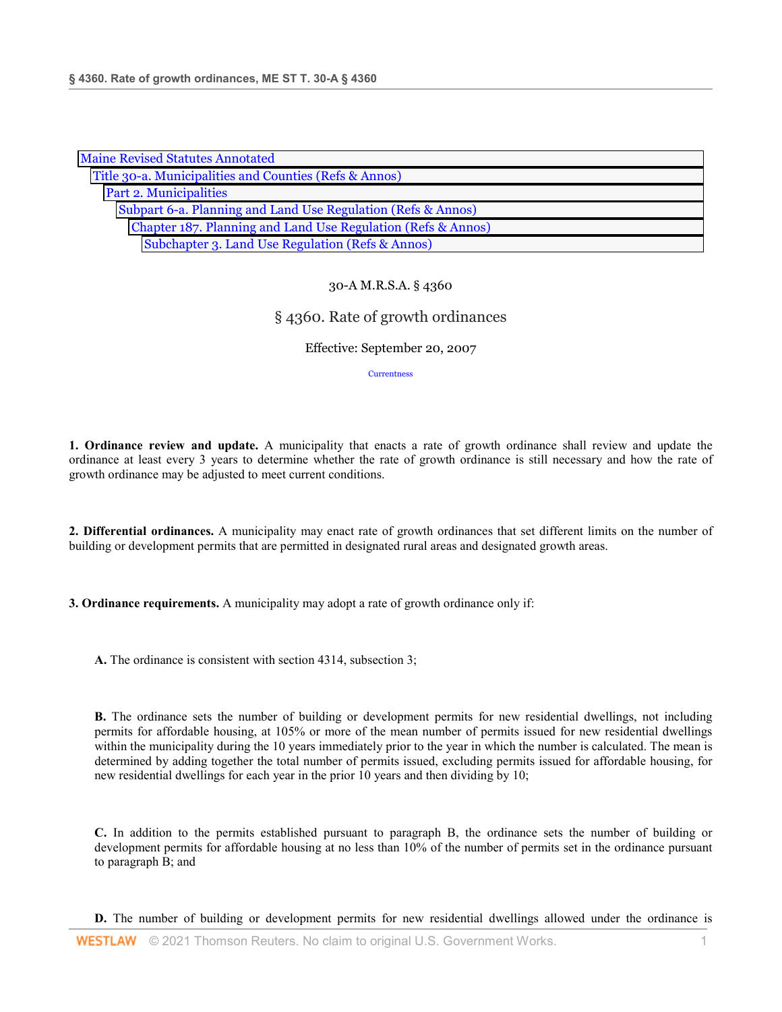| <b>Maine Revised Statutes Annotated</b>                      |
|--------------------------------------------------------------|
| Title 30-a. Municipalities and Counties (Refs & Annos)       |
| Part 2. Municipalities                                       |
| Subpart 6-a. Planning and Land Use Regulation (Refs & Annos) |
| Chapter 187. Planning and Land Use Regulation (Refs & Annos) |
| Subchapter 3. Land Use Regulation (Refs & Annos)             |

## 30-A M.R.S.A. § 4360

## § 4360. Rate of growth ordinances

Effective: September 20, 2007

**Currentness** 

**1. Ordinance review and update.** A municipality that enacts a rate of growth ordinance shall review and update the ordinance at least every 3 years to determine whether the rate of growth ordinance is still necessary and how the rate of growth ordinance may be adjusted to meet current conditions.

**2. Differential ordinances.** A municipality may enact rate of growth ordinances that set different limits on the number of building or development permits that are permitted in designated rural areas and designated growth areas.

**3. Ordinance requirements.** A municipality may adopt a rate of growth ordinance only if:

**A.** The ordinance is consistent with section 4314, subsection 3;

**B.** The ordinance sets the number of building or development permits for new residential dwellings, not including permits for affordable housing, at 105% or more of the mean number of permits issued for new residential dwellings within the municipality during the 10 years immediately prior to the year in which the number is calculated. The mean is determined by adding together the total number of permits issued, excluding permits issued for affordable housing, for new residential dwellings for each year in the prior 10 years and then dividing by 10;

**C.** In addition to the permits established pursuant to paragraph B, the ordinance sets the number of building or development permits for affordable housing at no less than 10% of the number of permits set in the ordinance pursuant to paragraph B; and

**D.** The number of building or development permits for new residential dwellings allowed under the ordinance is